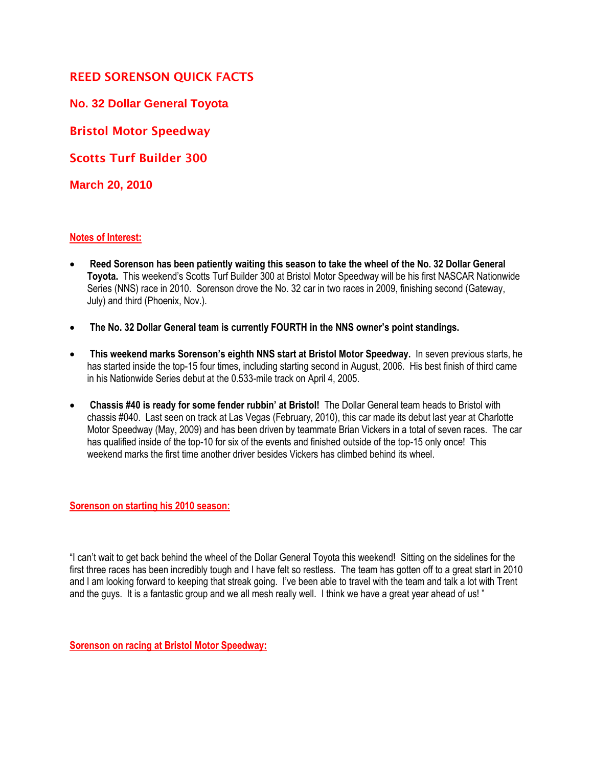## **REED SORENSON QUICK FACTS**

**No. 32 Dollar General Toyota**

**Bristol Motor Speedway**

**Scotts Turf Builder 300**

**March 20, 2010**

## **Notes of Interest:**

- **Reed Sorenson has been patiently waiting this season to take the wheel of the No. 32 Dollar General Toyota.** This weekend's Scotts Turf Builder 300 at Bristol Motor Speedway will be his first NASCAR Nationwide Series (NNS) race in 2010. Sorenson drove the No. 32 car in two races in 2009, finishing second (Gateway, July) and third (Phoenix, Nov.).
- **The No. 32 Dollar General team is currently FOURTH in the NNS owner's point standings.**
- **This weekend marks Sorenson's eighth NNS start at Bristol Motor Speedway.** In seven previous starts, he has started inside the top-15 four times, including starting second in August, 2006. His best finish of third came in his Nationwide Series debut at the 0.533-mile track on April 4, 2005.
- **Chassis #40 is ready for some fender rubbin' at Bristol!** The Dollar General team heads to Bristol with chassis #040. Last seen on track at Las Vegas (February, 2010), this car made its debut last year at Charlotte Motor Speedway (May, 2009) and has been driven by teammate Brian Vickers in a total of seven races. The car has qualified inside of the top-10 for six of the events and finished outside of the top-15 only once! This weekend marks the first time another driver besides Vickers has climbed behind its wheel.

**Sorenson on starting his 2010 season:**

"I can't wait to get back behind the wheel of the Dollar General Toyota this weekend! Sitting on the sidelines for the first three races has been incredibly tough and I have felt so restless. The team has gotten off to a great start in 2010 and I am looking forward to keeping that streak going. I've been able to travel with the team and talk a lot with Trent and the guys. It is a fantastic group and we all mesh really well. I think we have a great year ahead of us! "

**Sorenson on racing at Bristol Motor Speedway:**